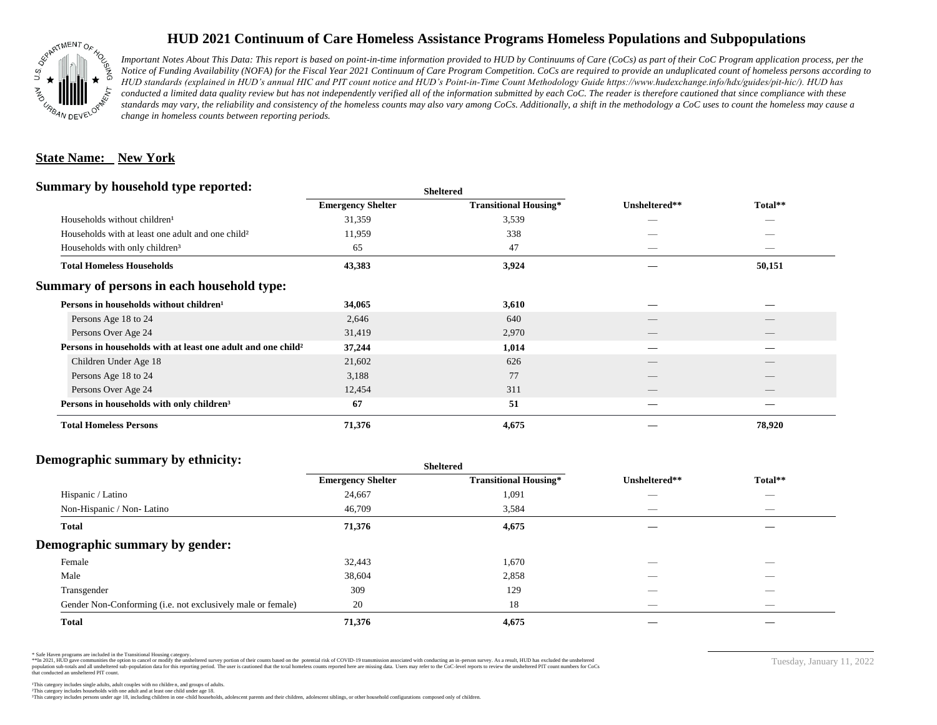

# **HUD 2021 Continuum of Care Homeless Assistance Programs Homeless Populations and Subpopulations**

*Important Notes About This Data: This report is based on point-in-time information provided to HUD by Continuums of Care (CoCs) as part of their CoC Program application process, per the Notice of Funding Availability (NOFA) for the Fiscal Year 2021 Continuum of Care Program Competition. CoCs are required to provide an unduplicated count of homeless persons according to HUD standards (explained in HUD's annual HIC and PIT count notice and HUD's Point-in-Time Count Methodology Guide https://www.hudexchange.info/hdx/guides/pit-hic/). HUD has*  conducted a limited data quality review but has not independently verified all of the information submitted by each CoC. The reader is therefore cautioned that since compliance with these standards may vary, the reliability and consistency of the homeless counts may also vary among CoCs. Additionally, a shift in the methodology a CoC uses to count the homeless may cause a *change in homeless counts between reporting periods.*

#### **State Name: New York**

#### **Summary by household type reported:**

| Summary by household type reported:                                      | <b>Sheltered</b>         |                              |               |         |
|--------------------------------------------------------------------------|--------------------------|------------------------------|---------------|---------|
|                                                                          | <b>Emergency Shelter</b> | <b>Transitional Housing*</b> | Unsheltered** | Total** |
| Households without children <sup>1</sup>                                 | 31,359                   | 3,539                        |               |         |
| Households with at least one adult and one child <sup>2</sup>            | 11,959                   | 338                          |               |         |
| Households with only children <sup>3</sup>                               | 65                       | 47                           |               |         |
| <b>Total Homeless Households</b>                                         | 43,383                   | 3,924                        |               | 50,151  |
| Summary of persons in each household type:                               |                          |                              |               |         |
| Persons in households without children <sup>1</sup>                      | 34,065                   | 3,610                        |               |         |
| Persons Age 18 to 24                                                     | 2,646                    | 640                          |               |         |
| Persons Over Age 24                                                      | 31,419                   | 2,970                        |               |         |
| Persons in households with at least one adult and one child <sup>2</sup> | 37,244                   | 1,014                        |               |         |
| Children Under Age 18                                                    | 21,602                   | 626                          | __            |         |
| Persons Age 18 to 24                                                     | 3,188                    | 77                           |               |         |
| Persons Over Age 24                                                      | 12,454                   | 311                          |               |         |
| Persons in households with only children <sup>3</sup>                    | 67                       | 51                           | --            | --      |
| <b>Total Homeless Persons</b>                                            | 71,376                   | 4,675                        |               | 78,920  |

## **Demographic summary by ethnicity:**

| $P_{\rm{c}}$ $\sim$ $P_{\rm{c}}$ $\sim$ $P_{\rm{c}}$ $\sim$ $P_{\rm{c}}$ $\sim$ $P_{\rm{c}}$ $\sim$ $P_{\rm{c}}$ $\sim$ $P_{\rm{c}}$ $\sim$ $P_{\rm{c}}$ $\sim$ $P_{\rm{c}}$ $\sim$ $P_{\rm{c}}$ $\sim$ $P_{\rm{c}}$ $\sim$ $P_{\rm{c}}$ $\sim$ $P_{\rm{c}}$ $\sim$ $P_{\rm{c}}$ $\sim$ $P_{\rm{c}}$ |                          | <b>Sheltered</b>             |                                |                                 |  |
|------------------------------------------------------------------------------------------------------------------------------------------------------------------------------------------------------------------------------------------------------------------------------------------------------|--------------------------|------------------------------|--------------------------------|---------------------------------|--|
|                                                                                                                                                                                                                                                                                                      | <b>Emergency Shelter</b> | <b>Transitional Housing*</b> | Unsheltered**                  | Total**                         |  |
| Hispanic / Latino                                                                                                                                                                                                                                                                                    | 24,667                   | 1,091                        | $\overline{\phantom{a}}$       | $\overline{\phantom{a}}$        |  |
| Non-Hispanic / Non-Latino                                                                                                                                                                                                                                                                            | 46,709                   | 3,584                        | $\overbrace{\hspace{25mm}}^{}$ | $\hspace{0.1mm}-\hspace{0.1mm}$ |  |
| <b>Total</b>                                                                                                                                                                                                                                                                                         | 71,376                   | 4,675                        |                                |                                 |  |
| Demographic summary by gender:                                                                                                                                                                                                                                                                       |                          |                              |                                |                                 |  |
| Female                                                                                                                                                                                                                                                                                               | 32,443                   | 1,670                        | $\overline{\phantom{a}}$       | $\overline{\phantom{a}}$        |  |
| Male                                                                                                                                                                                                                                                                                                 | 38,604                   | 2,858                        | _                              | $\hspace{0.1mm}-\hspace{0.1mm}$ |  |
| Transgender                                                                                                                                                                                                                                                                                          | 309                      | 129                          | $\overbrace{\hspace{25mm}}^{}$ | $\hspace{0.1mm}-\hspace{0.1mm}$ |  |
| Gender Non-Conforming (i.e. not exclusively male or female)                                                                                                                                                                                                                                          | 20                       | 18                           | $\overline{\phantom{a}}$       | $\overbrace{\hspace{25mm}}^{}$  |  |
| <b>Total</b>                                                                                                                                                                                                                                                                                         | 71,376                   | 4,675                        |                                |                                 |  |

\* Safe Haven programs are included in the Transitional Housing category.

\*\*In 2021, HUD gave communities the option to cancel or modify the unsheltered survey portion of their counts based on the potential risk of COVID-19 transmission associated with conducting an in-person survey. As a result n political and distribution of the resort in the constant of the experimental and the constant of the constant of the constant of the constant of the constant of the constant of the constant of the constant of the constan that conducted an unsheltered PIT count.